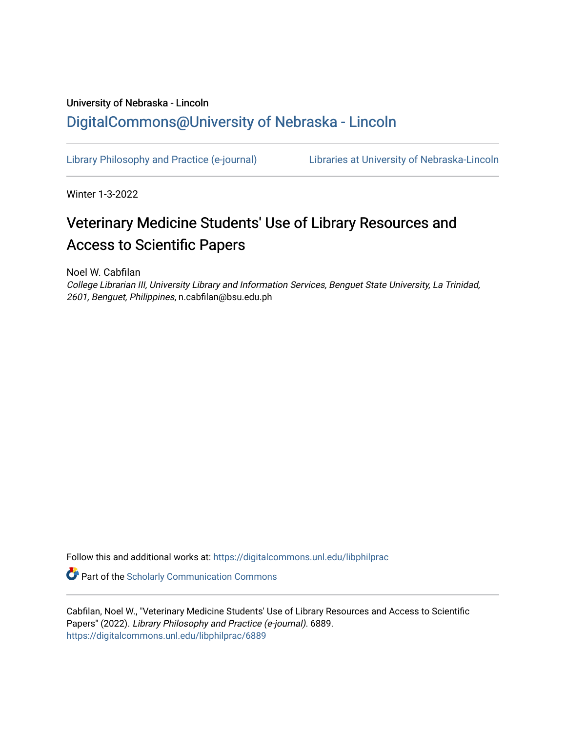## University of Nebraska - Lincoln [DigitalCommons@University of Nebraska - Lincoln](https://digitalcommons.unl.edu/)

[Library Philosophy and Practice \(e-journal\)](https://digitalcommons.unl.edu/libphilprac) [Libraries at University of Nebraska-Lincoln](https://digitalcommons.unl.edu/libraries) 

Winter 1-3-2022

# Veterinary Medicine Students' Use of Library Resources and Access to Scientific Papers

Noel W. Cabfilan

College Librarian III, University Library and Information Services, Benguet State University, La Trinidad, 2601, Benguet, Philippines, n.cabfilan@bsu.edu.ph

Follow this and additional works at: [https://digitalcommons.unl.edu/libphilprac](https://digitalcommons.unl.edu/libphilprac?utm_source=digitalcommons.unl.edu%2Flibphilprac%2F6889&utm_medium=PDF&utm_campaign=PDFCoverPages) 

Part of the [Scholarly Communication Commons](http://network.bepress.com/hgg/discipline/1272?utm_source=digitalcommons.unl.edu%2Flibphilprac%2F6889&utm_medium=PDF&utm_campaign=PDFCoverPages) 

Cabfilan, Noel W., "Veterinary Medicine Students' Use of Library Resources and Access to Scientific Papers" (2022). Library Philosophy and Practice (e-journal). 6889. [https://digitalcommons.unl.edu/libphilprac/6889](https://digitalcommons.unl.edu/libphilprac/6889?utm_source=digitalcommons.unl.edu%2Flibphilprac%2F6889&utm_medium=PDF&utm_campaign=PDFCoverPages)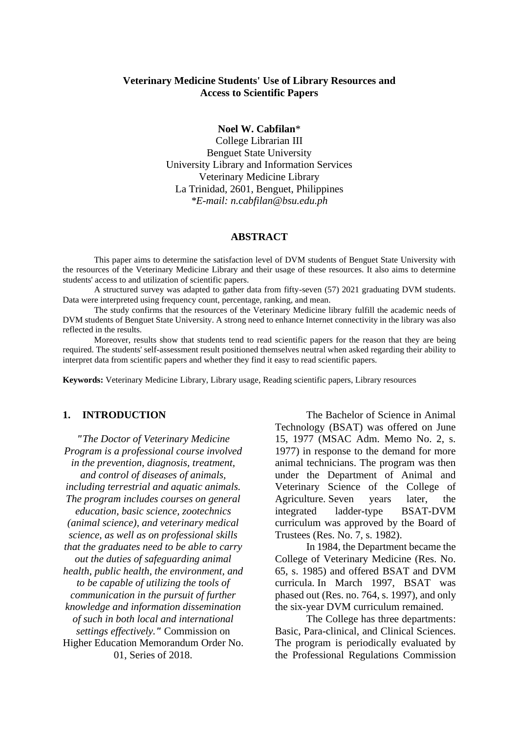#### **Veterinary Medicine Students' Use of Library Resources and Access to Scientific Papers**

**Noel W. Cabfilan**\*

College Librarian III Benguet State University University Library and Information Services Veterinary Medicine Library La Trinidad, 2601, Benguet, Philippines *\*E-mail: n.cabfilan@bsu.edu.ph*

#### **ABSTRACT**

This paper aims to determine the satisfaction level of DVM students of Benguet State University with the resources of the Veterinary Medicine Library and their usage of these resources. It also aims to determine students' access to and utilization of scientific papers.

A structured survey was adapted to gather data from fifty-seven (57) 2021 graduating DVM students. Data were interpreted using frequency count, percentage, ranking, and mean.

The study confirms that the resources of the Veterinary Medicine library fulfill the academic needs of DVM students of Benguet State University. A strong need to enhance Internet connectivity in the library was also reflected in the results.

Moreover, results show that students tend to read scientific papers for the reason that they are being required. The students' self-assessment result positioned themselves neutral when asked regarding their ability to interpret data from scientific papers and whether they find it easy to read scientific papers.

**Keywords:** Veterinary Medicine Library, Library usage, Reading scientific papers, Library resources

#### **1. INTRODUCTION**

*"The Doctor of Veterinary Medicine Program is a professional course involved in the prevention, diagnosis, treatment, and control of diseases of animals, including terrestrial and aquatic animals. The program includes courses on general education, basic science, zootechnics (animal science), and veterinary medical science, as well as on professional skills that the graduates need to be able to carry out the duties of safeguarding animal health, public health, the environment, and to be capable of utilizing the tools of communication in the pursuit of further knowledge and information dissemination of such in both local and international settings effectively."* Commission on Higher Education Memorandum Order No. 01, Series of 2018.

The Bachelor of Science in Animal Technology (BSAT) was offered on June 15, 1977 (MSAC Adm. Memo No. 2, s. 1977) in response to the demand for more animal technicians. The program was then under the Department of Animal and Veterinary Science of the College of Agriculture. Seven years later, the integrated ladder-type BSAT-DVM curriculum was approved by the Board of Trustees (Res. No. 7, s. 1982).

In 1984, the Department became the College of Veterinary Medicine (Res. No. 65, s. 1985) and offered BSAT and DVM curricula. In March 1997, BSAT was phased out (Res. no. 764, s. 1997), and only the six-year DVM curriculum remained.

The College has three departments: Basic, Para-clinical, and Clinical Sciences. The program is periodically evaluated by the Professional Regulations Commission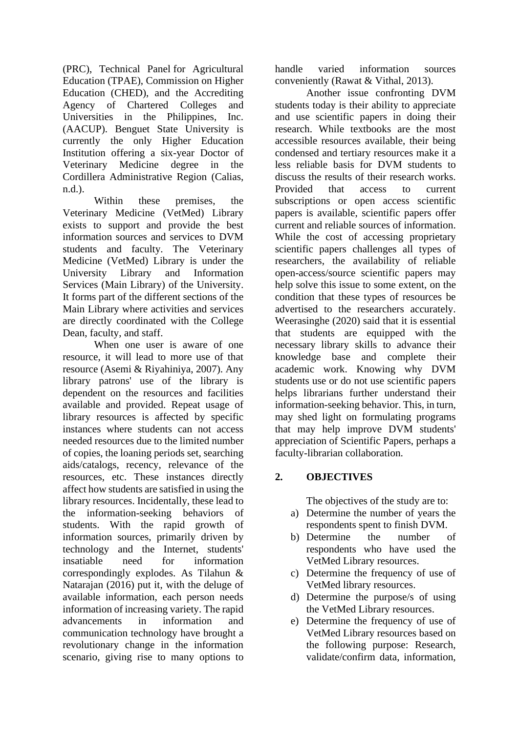(PRC), Technical Panel for Agricultural Education (TPAE), Commission on Higher Education (CHED), and the Accrediting Agency of Chartered Colleges and Universities in the Philippines, Inc. (AACUP). Benguet State University is currently the only Higher Education Institution offering a six-year Doctor of Veterinary Medicine degree in the Cordillera Administrative Region (Calias, n.d.).

Within these premises, the Veterinary Medicine (VetMed) Library exists to support and provide the best information sources and services to DVM students and faculty. The Veterinary Medicine (VetMed) Library is under the University Library and Information Services (Main Library) of the University. It forms part of the different sections of the Main Library where activities and services are directly coordinated with the College Dean, faculty, and staff.

When one user is aware of one resource, it will lead to more use of that resource (Asemi & Riyahiniya, 2007). Any library patrons' use of the library is dependent on the resources and facilities available and provided. Repeat usage of library resources is affected by specific instances where students can not access needed resources due to the limited number of copies, the loaning periods set, searching aids/catalogs, recency, relevance of the resources, etc. These instances directly affect how students are satisfied in using the library resources. Incidentally, these lead to the information-seeking behaviors of students. With the rapid growth of information sources, primarily driven by technology and the Internet, students' insatiable need for information correspondingly explodes. As Tilahun & Natarajan (2016) put it, with the deluge of available information, each person needs information of increasing variety. The rapid advancements in information and communication technology have brought a revolutionary change in the information scenario, giving rise to many options to handle varied information sources conveniently (Rawat & Vithal, 2013).

Another issue confronting DVM students today is their ability to appreciate and use scientific papers in doing their research. While textbooks are the most accessible resources available, their being condensed and tertiary resources make it a less reliable basis for DVM students to discuss the results of their research works. Provided that access to current subscriptions or open access scientific papers is available, scientific papers offer current and reliable sources of information. While the cost of accessing proprietary scientific papers challenges all types of researchers, the availability of reliable open-access/source scientific papers may help solve this issue to some extent, on the condition that these types of resources be advertised to the researchers accurately. Weerasinghe (2020) said that it is essential that students are equipped with the necessary library skills to advance their knowledge base and complete their academic work. Knowing why DVM students use or do not use scientific papers helps librarians further understand their information-seeking behavior. This, in turn, may shed light on formulating programs that may help improve DVM students' appreciation of Scientific Papers, perhaps a faculty-librarian collaboration.

## **2. OBJECTIVES**

The objectives of the study are to:

- a) Determine the number of years the respondents spent to finish DVM.
- b) Determine the number of respondents who have used the VetMed Library resources.
- c) Determine the frequency of use of VetMed library resources.
- d) Determine the purpose/s of using the VetMed Library resources.
- e) Determine the frequency of use of VetMed Library resources based on the following purpose: Research, validate/confirm data, information,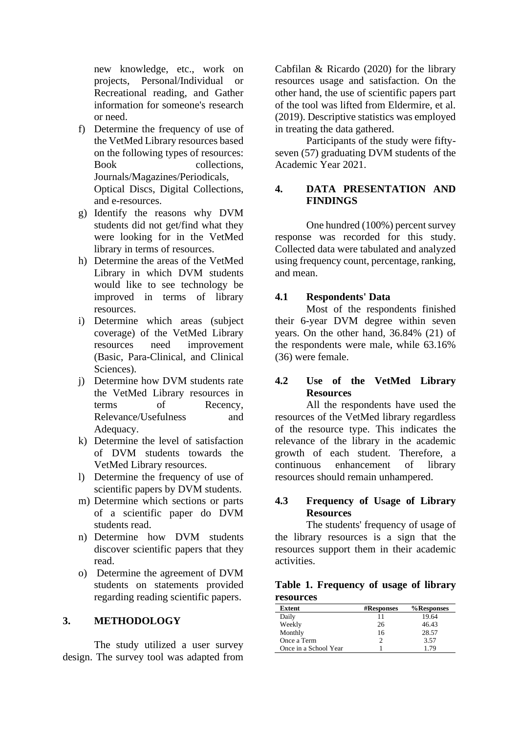new knowledge, etc., work on projects, Personal/Individual or Recreational reading, and Gather information for someone's research or need.

- f) Determine the frequency of use of the VetMed Library resources based on the following types of resources: Book collections. Journals/Magazines/Periodicals, Optical Discs, Digital Collections, and e-resources.
- g) Identify the reasons why DVM students did not get/find what they were looking for in the VetMed library in terms of resources.
- h) Determine the areas of the VetMed Library in which DVM students would like to see technology be improved in terms of library resources.
- i) Determine which areas (subject coverage) of the VetMed Library resources need improvement (Basic, Para-Clinical, and Clinical Sciences).
- j) Determine how DVM students rate the VetMed Library resources in terms of Recency, Relevance/Usefulness and Adequacy.
- k) Determine the level of satisfaction of DVM students towards the VetMed Library resources.
- l) Determine the frequency of use of scientific papers by DVM students.
- m) Determine which sections or parts of a scientific paper do DVM students read.
- n) Determine how DVM students discover scientific papers that they read.
- o) Determine the agreement of DVM students on statements provided regarding reading scientific papers.

#### **3. METHODOLOGY**

The study utilized a user survey design. The survey tool was adapted from Cabfilan & Ricardo (2020) for the library resources usage and satisfaction. On the other hand, the use of scientific papers part of the tool was lifted from Eldermire, et al. (2019). Descriptive statistics was employed in treating the data gathered.

Participants of the study were fiftyseven (57) graduating DVM students of the Academic Year 2021.

## **4. DATA PRESENTATION AND FINDINGS**

One hundred (100%) percent survey response was recorded for this study. Collected data were tabulated and analyzed using frequency count, percentage, ranking, and mean.

#### **4.1 Respondents' Data**

Most of the respondents finished their 6-year DVM degree within seven years. On the other hand, 36.84% (21) of the respondents were male, while 63.16% (36) were female.

## **4.2 Use of the VetMed Library Resources**

All the respondents have used the resources of the VetMed library regardless of the resource type. This indicates the relevance of the library in the academic growth of each student. Therefore, a continuous enhancement of library resources should remain unhampered.

## **4.3 Frequency of Usage of Library Resources**

The students' frequency of usage of the library resources is a sign that the resources support them in their academic activities.

**Table 1. Frequency of usage of library resources**

| Extent                | <b>#Responses</b> | %Responses |
|-----------------------|-------------------|------------|
| Daily                 |                   | 19.64      |
| Weekly                | 26                | 46.43      |
| Monthly               | 16                | 28.57      |
| Once a Term           |                   | 3.57       |
| Once in a School Year |                   | 179        |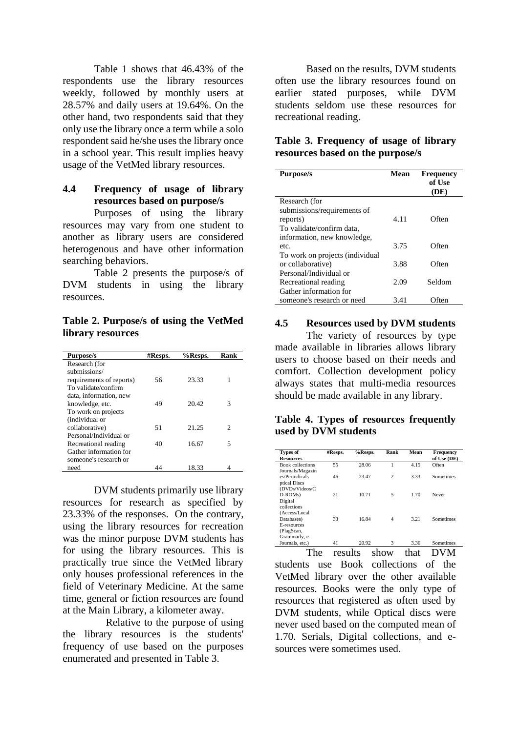Table 1 shows that 46.43% of the respondents use the library resources weekly, followed by monthly users at 28.57% and daily users at 19.64%. On the other hand, two respondents said that they only use the library once a term while a solo respondent said he/she uses the library once in a school year. This result implies heavy usage of the VetMed library resources.

## **4.4 Frequency of usage of library resources based on purpose/s**

Purposes of using the library resources may vary from one student to another as library users are considered heterogenous and have other information searching behaviors.

Table 2 presents the purpose/s of DVM students in using the library resources.

**Table 2. Purpose/s of using the VetMed library resources**

| <b>Purpose/s</b>         | #Resps. | %Resps. | Rank                        |
|--------------------------|---------|---------|-----------------------------|
| Research (for            |         |         |                             |
| submissions/             |         |         |                             |
| requirements of reports) | 56      | 23.33   |                             |
| To validate/confirm      |         |         |                             |
| data, information, new   |         |         |                             |
| knowledge, etc.          | 49      | 20.42   | 3                           |
| To work on projects      |         |         |                             |
| (individual or           |         |         |                             |
| collaborative)           | 51      | 21.25   | $\mathcal{D}_{\mathcal{L}}$ |
| Personal/Individual or   |         |         |                             |
| Recreational reading     | 40      | 16.67   | 5                           |
| Gather information for   |         |         |                             |
| someone's research or    |         |         |                             |
| need                     | 44      | 18.33   |                             |

DVM students primarily use library resources for research as specified by 23.33% of the responses. On the contrary, using the library resources for recreation was the minor purpose DVM students has for using the library resources. This is practically true since the VetMed library only houses professional references in the field of Veterinary Medicine. At the same time, general or fiction resources are found at the Main Library, a kilometer away.

Relative to the purpose of using the library resources is the students' frequency of use based on the purposes enumerated and presented in Table 3.

Based on the results, DVM students often use the library resources found on earlier stated purposes, while DVM students seldom use these resources for recreational reading.

## **Table 3. Frequency of usage of library resources based on the purpose/s**

| <b>Purpose/s</b>                | Mean | <b>Frequency</b><br>of Use<br>(DE) |
|---------------------------------|------|------------------------------------|
| Research (for                   |      |                                    |
| submissions/requirements of     |      |                                    |
| reports)                        | 4.11 | Often                              |
| To validate/confirm data,       |      |                                    |
| information, new knowledge,     |      |                                    |
| etc.                            | 3.75 | Often                              |
| To work on projects (individual |      |                                    |
| or collaborative)               | 3.88 | Often                              |
| Personal/Individual or          |      |                                    |
| Recreational reading            | 2.09 | Seldom                             |
| Gather information for          |      |                                    |
| someone's research or need      | 3.41 | tten.                              |

#### **4.5 Resources used by DVM students**

The variety of resources by type made available in libraries allows library users to choose based on their needs and comfort. Collection development policy always states that multi-media resources should be made available in any library.

#### **Table 4. Types of resources frequently used by DVM students**

| <b>Types of</b>         | #Resps. | %Resps. | Rank           | Mean | Frequency   |
|-------------------------|---------|---------|----------------|------|-------------|
| <b>Resources</b>        |         |         |                |      | of Use (DE) |
| <b>Book collections</b> | 55      | 28.06   | 1              | 4.15 | Often       |
| Journals/Magazin        |         |         |                |      |             |
| es/Periodicals          | 46      | 23.47   | $\overline{c}$ | 3.33 | Sometimes   |
| ptical Discs            |         |         |                |      |             |
| (DVDs/Videos/C          |         |         |                |      |             |
| $D-ROMs$                | 21      | 10.71   | 5              | 1.70 | Never       |
| Digital                 |         |         |                |      |             |
| collections             |         |         |                |      |             |
| (Access/Local           |         |         |                |      |             |
| Databases)              | 33      | 16.84   | $\overline{4}$ | 3.21 | Sometimes   |
| E-resources             |         |         |                |      |             |
| (PlagScan,              |         |         |                |      |             |
| Grammarly, e-           |         |         |                |      |             |
| Journals, etc.)         | 41      | 20.92   | 3              | 3.36 | Sometimes   |

41 20.92 3 3.36 Sometimes The results show that DVM students use Book collections of the VetMed library over the other available resources. Books were the only type of resources that registered as often used by DVM students, while Optical discs were never used based on the computed mean of 1.70. Serials, Digital collections, and esources were sometimes used.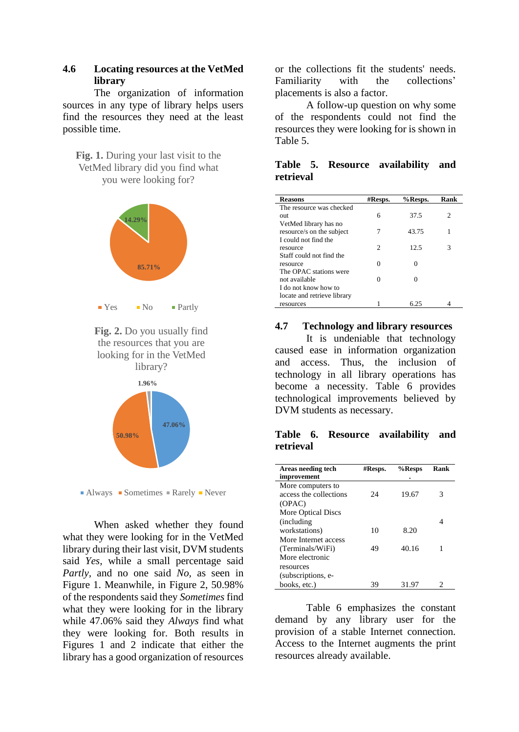## **4.6 Locating resources at the VetMed library**

The organization of information sources in any type of library helps users find the resources they need at the least possible time.

**Fig. 1.** During your last visit to the VetMed library did you find what you were looking for?









 $\blacksquare$  Always  $\blacksquare$  Sometimes  $\blacksquare$  Rarely  $\blacksquare$  Never

When asked whether they found what they were looking for in the VetMed library during their last visit, DVM students said *Yes,* while a small percentage said *Partly,* and no one said *No,* as seen in Figure 1. Meanwhile, in Figure 2, 50.98% of the respondents said they *Sometimes* find what they were looking for in the library while 47.06% said they *Always* find what they were looking for. Both results in Figures 1 and 2 indicate that either the library has a good organization of resources

or the collections fit the students' needs. Familiarity with the collections' placements is also a factor.

A follow-up question on why some of the respondents could not find the resources they were looking for is shown in Table 5.

## **Table 5. Resource availability and retrieval**

| <b>Reasons</b>              | $\#_{\rm{Resps.}}$          | %Resps. | Rank |
|-----------------------------|-----------------------------|---------|------|
| The resource was checked    |                             |         |      |
| out                         | 6                           | 37.5    | 2    |
| VetMed library has no       |                             |         |      |
| resource/s on the subject   | 7                           | 43.75   |      |
| I could not find the        |                             |         |      |
| resource                    | $\mathcal{D}_{\mathcal{L}}$ | 12.5    | 3    |
| Staff could not find the    |                             |         |      |
| resource                    | Ω                           |         |      |
| The OPAC stations were      |                             |         |      |
| not available               |                             |         |      |
| I do not know how to        |                             |         |      |
| locate and retrieve library |                             |         |      |
| resources                   |                             | 6.25    |      |

#### **4.7 Technology and library resources**

It is undeniable that technology caused ease in information organization and access. Thus, the inclusion of technology in all library operations has become a necessity. Table 6 provides technological improvements believed by DVM students as necessary.

### **Table 6. Resource availability and retrieval**

| Areas needing tech     | #Resps. | %Resps | Rank |
|------------------------|---------|--------|------|
| improvement            |         |        |      |
| More computers to      |         |        |      |
| access the collections | 24      | 19.67  | 3    |
| (OPAC)                 |         |        |      |
| More Optical Discs     |         |        |      |
| (including)            |         |        |      |
| workstations)          | 10      | 8.20   |      |
| More Internet access   |         |        |      |
| (Terminals/WiFi)       | 49      | 40.16  |      |
| More electronic        |         |        |      |
| resources              |         |        |      |
| (subscriptions, e-     |         |        |      |
| books, etc.)           | 39      | 31.97  |      |

Table 6 emphasizes the constant demand by any library user for the provision of a stable Internet connection. Access to the Internet augments the print resources already available.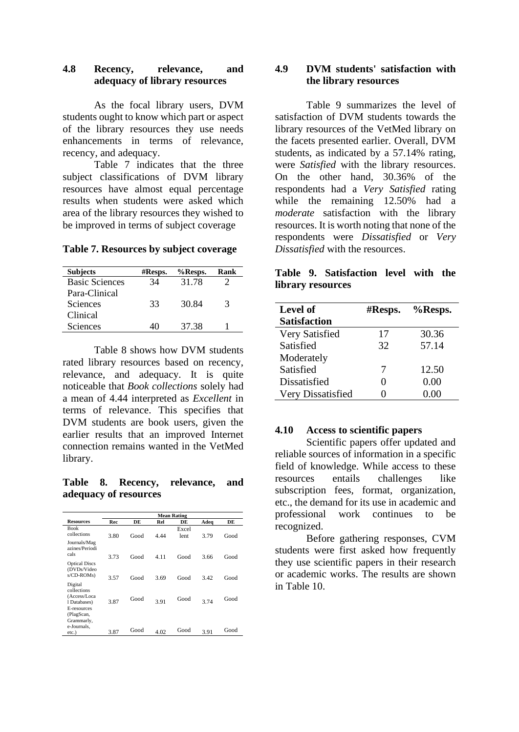#### **4.8 Recency, relevance, and adequacy of library resources**

As the focal library users, DVM students ought to know which part or aspect of the library resources they use needs enhancements in terms of relevance, recency, and adequacy.

Table 7 indicates that the three subject classifications of DVM library resources have almost equal percentage results when students were asked which area of the library resources they wished to be improved in terms of subject coverage

#### **Table 7. Resources by subject coverage**

| <b>Subjects</b>       | #Resps. | %Resps. | Rank |
|-----------------------|---------|---------|------|
| <b>Basic Sciences</b> | 34      | 31.78   |      |
| Para-Clinical         |         |         |      |
| <b>Sciences</b>       | 33      | 30.84   | 3    |
| Clinical              |         |         |      |
| Sciences              |         | 37.38   |      |

Table 8 shows how DVM students rated library resources based on recency, relevance, and adequacy. It is quite noticeable that *Book collections* solely had a mean of 4.44 interpreted as *Excellent* in terms of relevance. This specifies that DVM students are book users, given the earlier results that an improved Internet connection remains wanted in the VetMed library.

**Table 8. Recency, relevance, and adequacy of resources**

|                                                   |      | <b>Mean Rating</b> |      |               |      |      |
|---------------------------------------------------|------|--------------------|------|---------------|------|------|
| <b>Resources</b>                                  | Rec  | DE                 | Rel  | DE            | Adeq | DE   |
| <b>Book</b><br>collections                        | 3.80 | Good               | 4.44 | Excel<br>lent | 3.79 | Good |
| Journals/Mag<br>azines/Periodi<br>cals            | 3.73 | Good               | 4.11 | Good          | 3.66 | Good |
| <b>Optical Discs</b><br>(DVDs/Video<br>s/CD-ROMs) | 3.57 | Good               | 3.69 | Good          | 3.42 | Good |
| Digital<br>collections<br>(Access/Loca            |      |                    |      |               |      |      |
| 1 Databases)<br>E-resources<br>(PlagScan,         | 3.87 | Good               | 3.91 | Good          | 3.74 | Good |
| Grammarly,<br>e-Journals.                         |      |                    |      |               |      |      |
| etc.)                                             | 3.87 | Good               | 4.02 | Good          | 3.91 | Good |

#### **4.9 DVM students' satisfaction with the library resources**

Table 9 summarizes the level of satisfaction of DVM students towards the library resources of the VetMed library on the facets presented earlier. Overall, DVM students, as indicated by a 57.14% rating, were *Satisfied* with the library resources. On the other hand, 30.36% of the respondents had a *Very Satisfied* rating while the remaining 12.50% had a *moderate* satisfaction with the library resources. It is worth noting that none of the respondents were *Dissatisfied* or *Very Dissatisfied* with the resources.

**Table 9. Satisfaction level with the library resources**

| <b>Level of</b>     | $\#$ Resps.       | %Resps. |
|---------------------|-------------------|---------|
| <b>Satisfaction</b> |                   |         |
| Very Satisfied      | 17                | 30.36   |
| Satisfied           | 32                | 57.14   |
| Moderately          |                   |         |
| Satisfied           | 7                 | 12.50   |
| Dissatisfied        | $\mathbf{\Omega}$ | 0.00    |
| Very Dissatisfied   |                   | 0.00    |

#### **4.10 Access to scientific papers**

Scientific papers offer updated and reliable sources of information in a specific field of knowledge. While access to these resources entails challenges like subscription fees, format, organization, etc., the demand for its use in academic and professional work continues to be recognized.

Before gathering responses, CVM students were first asked how frequently they use scientific papers in their research or academic works. The results are shown in Table 10.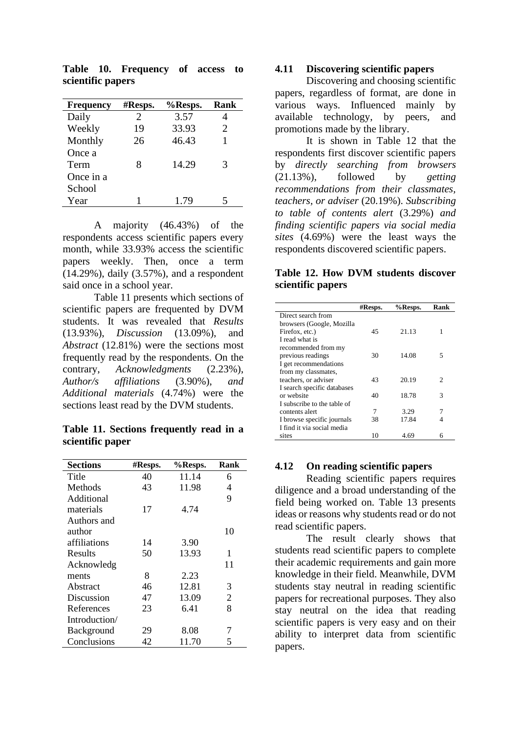| <b>Frequency</b> | #Resps. | %Resps. | Rank                  |
|------------------|---------|---------|-----------------------|
| Daily            | 2.      | 3.57    |                       |
| Weekly           | 19      | 33.93   | $\mathcal{D}_{\cdot}$ |
| Monthly          | 26      | 46.43   |                       |
| Once a           |         |         |                       |
| Term             | 8       | 14.29   | 3                     |
| Once in a        |         |         |                       |
| School           |         |         |                       |
| Year             |         | 1.79    |                       |

**Table 10. Frequency of access to scientific papers**

A majority (46.43%) of the respondents access scientific papers every month, while 33.93% access the scientific papers weekly. Then, once a term (14.29%), daily (3.57%), and a respondent said once in a school year.

Table 11 presents which sections of scientific papers are frequented by DVM students. It was revealed that *Results*  (13.93%), *Discussion* (13.09%), and *Abstract* (12.81%) were the sections most frequently read by the respondents. On the contrary, *Acknowledgments* (2.23%), *Author/s affiliations* (3.90%), *and Additional materials* (4.74%) were the sections least read by the DVM students.

**Table 11. Sections frequently read in a scientific paper**

| <b>Sections</b> | #Resps. | %Resps. | Rank           |
|-----------------|---------|---------|----------------|
| Title           | 40      | 11.14   | 6              |
| Methods         | 43      | 11.98   | 4              |
| Additional      |         |         | 9              |
| materials       | 17      | 4.74    |                |
| Authors and     |         |         |                |
| author          |         |         | 10             |
| affiliations    | 14      | 3.90    |                |
| Results         | 50      | 13.93   | 1              |
| Acknowledg      |         |         | 11             |
| ments           | 8       | 2.23    |                |
| Abstract        | 46      | 12.81   | 3              |
| Discussion      | 47      | 13.09   | $\overline{2}$ |
| References      | 23      | 6.41    | 8              |
| Introduction/   |         |         |                |
| Background      | 29      | 8.08    |                |
| Conclusions     | 42      | 11.70   | 5              |

#### **4.11 Discovering scientific papers**

Discovering and choosing scientific papers, regardless of format, are done in various ways. Influenced mainly by available technology, by peers, and promotions made by the library.

It is shown in Table 12 that the respondents first discover scientific papers by *directly searching from browsers*  (21.13%), followed by *getting recommendations from their classmates, teachers, or adviser* (20.19%). *Subscribing to table of contents alert* (3.29%) *and finding scientific papers via social media sites* (4.69%) were the least ways the respondents discovered scientific papers.

#### **Table 12. How DVM students discover scientific papers**

|                             | #Resps. | %Resps. | Rank |
|-----------------------------|---------|---------|------|
| Direct search from          |         |         |      |
| browsers (Google, Mozilla   |         |         |      |
| Firefox, etc.)              | 45      | 21.13   | 1    |
| I read what is              |         |         |      |
| recommended from my         |         |         |      |
| previous readings           | 30      | 14.08   | 5    |
| I get recommendations       |         |         |      |
| from my classmates,         |         |         |      |
| teachers, or adviser        | 43      | 20.19   | 2    |
| I search specific databases |         |         |      |
| or website                  | 40      | 18.78   | 3    |
| I subscribe to the table of |         |         |      |
| contents alert              | 7       | 3.29    | 7    |
| I browse specific journals  | 38      | 17.84   | 4    |
| I find it via social media  |         |         |      |
| sites                       | 10      | 4.69    | 6    |

#### **4.12 On reading scientific papers**

Reading scientific papers requires diligence and a broad understanding of the field being worked on. Table 13 presents ideas or reasons why students read or do not read scientific papers.

The result clearly shows that students read scientific papers to complete their academic requirements and gain more knowledge in their field. Meanwhile, DVM students stay neutral in reading scientific papers for recreational purposes. They also stay neutral on the idea that reading scientific papers is very easy and on their ability to interpret data from scientific papers.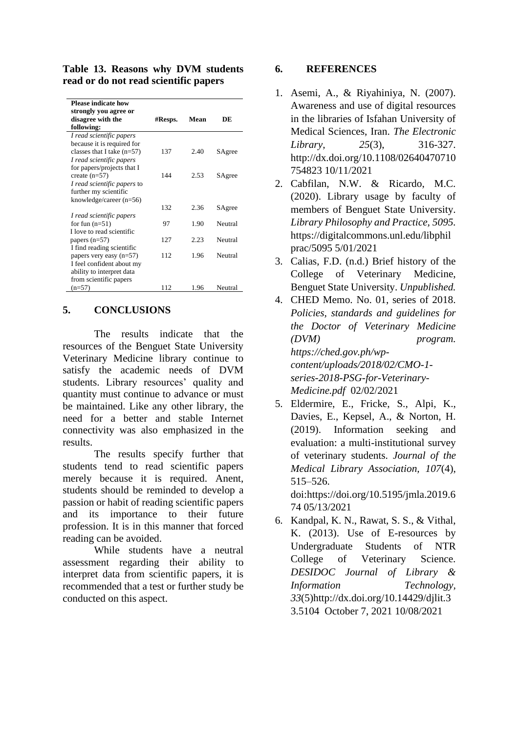**Table 13. Reasons why DVM students read or do not read scientific papers**

| <b>Please indicate how</b><br>strongly you agree or |         |      |         |
|-----------------------------------------------------|---------|------|---------|
| disagree with the                                   | #Resps. | Mean | DE      |
| following:                                          |         |      |         |
| I read scientific papers                            |         |      |         |
| because it is required for                          |         |      |         |
| classes that I take $(n=57)$                        | 137     | 2.40 | SAgree  |
| I read scientific papers                            |         |      |         |
| for papers/projects that I                          |         |      |         |
| create $(n=57)$                                     | 144     | 2.53 | SAgree  |
| I read scientific papers to                         |         |      |         |
| further my scientific                               |         |      |         |
| knowledge/career $(n=56)$                           |         |      |         |
|                                                     | 132     | 2.36 | SAgree  |
| I read scientific papers                            |         |      |         |
| for fun $(n=51)$                                    | 97      | 1.90 | Neutral |
| I love to read scientific                           |         |      |         |
| papers $(n=57)$                                     | 127     | 2.23 | Neutral |
| I find reading scientific                           |         |      |         |
| papers very easy $(n=57)$                           | 112     | 1.96 | Neutral |
| I feel confident about my                           |         |      |         |
| ability to interpret data                           |         |      |         |
| from scientific papers                              |         |      |         |
| $(n=57)$                                            | 112     | 1.96 | Neutral |

## **5. CONCLUSIONS**

The results indicate that the resources of the Benguet State University Veterinary Medicine library continue to satisfy the academic needs of DVM students. Library resources' quality and quantity must continue to advance or must be maintained. Like any other library, the need for a better and stable Internet connectivity was also emphasized in the results.

The results specify further that students tend to read scientific papers merely because it is required. Anent, students should be reminded to develop a passion or habit of reading scientific papers and its importance to their future profession. It is in this manner that forced reading can be avoided.

While students have a neutral assessment regarding their ability to interpret data from scientific papers, it is recommended that a test or further study be conducted on this aspect.

## **6. REFERENCES**

- 1. Asemi, A., & Riyahiniya, N. (2007). Awareness and use of digital resources in the libraries of Isfahan University of Medical Sciences, Iran. *The Electronic Library, 25*(3), 316-327. http://dx.doi.org/10.1108/02640470710 754823 10/11/2021
- 2. Cabfilan, N.W. & Ricardo, M.C. (2020). Library usage by faculty of members of Benguet State University. *Library Philosophy and Practice, 5095.* https://digitalcommons.unl.edu/libphil prac/5095 5/01/2021
- 3. Calias, F.D. (n.d.) Brief history of the College of Veterinary Medicine, Benguet State University. *Unpublished.*
- 4. CHED Memo. No. 01, series of 2018. *Policies, standards and guidelines for the Doctor of Veterinary Medicine (DVM) program. https://ched.gov.ph/wpcontent/uploads/2018/02/CMO-1 series-2018-PSG-for-Veterinary-Medicine.pdf* 02/02/2021
- 5. Eldermire, E., Fricke, S., Alpi, K., Davies, E., Kepsel, A., & Norton, H. (2019). Information seeking and evaluation: a multi-institutional survey of veterinary students. *Journal of the Medical Library Association, 107*(4), 515–526. doi:https://doi.org/10.5195/jmla.2019.6

74 05/13/2021

6. Kandpal, K. N., Rawat, S. S., & Vithal, K. (2013). Use of E-resources by Undergraduate Students of NTR College of Veterinary Science. *DESIDOC Journal of Library & Information Technology, 33*(5)http://dx.doi.org/10.14429/djlit.3 3.5104 October 7, 2021 10/08/2021